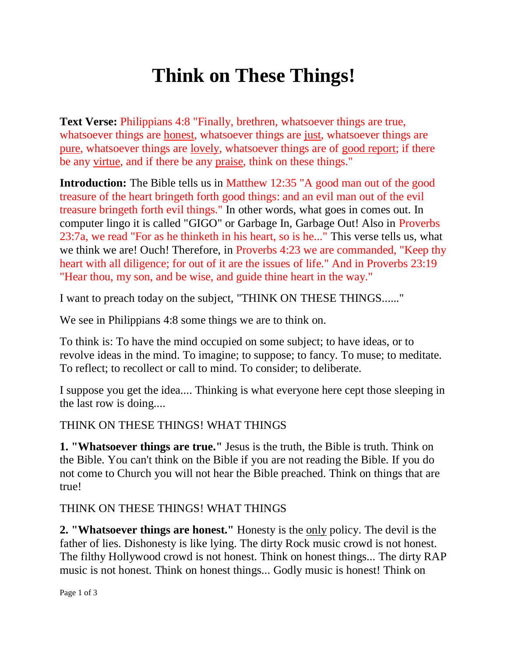# **Think on These Things!**

**Text Verse:** Philippians 4:8 "Finally, brethren, whatsoever things are true, whatsoever things are honest, whatsoever things are just, whatsoever things are pure, whatsoever things are lovely, whatsoever things are of good report; if there be any virtue, and if there be any praise, think on these things."

**Introduction:** The Bible tells us in Matthew 12:35 "A good man out of the good treasure of the heart bringeth forth good things: and an evil man out of the evil treasure bringeth forth evil things." In other words, what goes in comes out. In computer lingo it is called "GIGO" or Garbage In, Garbage Out! Also in Proverbs 23:7a, we read "For as he thinketh in his heart, so is he..." This verse tells us, what we think we are! Ouch! Therefore, in Proverbs 4:23 we are commanded, "Keep thy heart with all diligence; for out of it are the issues of life." And in Proverbs 23:19 "Hear thou, my son, and be wise, and guide thine heart in the way."

I want to preach today on the subject, "THINK ON THESE THINGS......"

We see in Philippians 4:8 some things we are to think on.

To think is: To have the mind occupied on some subject; to have ideas, or to revolve ideas in the mind. To imagine; to suppose; to fancy. To muse; to meditate. To reflect; to recollect or call to mind. To consider; to deliberate.

I suppose you get the idea.... Thinking is what everyone here cept those sleeping in the last row is doing....

#### THINK ON THESE THINGS! WHAT THINGS

**1. "Whatsoever things are true."** Jesus is the truth, the Bible is truth. Think on the Bible. You can't think on the Bible if you are not reading the Bible. If you do not come to Church you will not hear the Bible preached. Think on things that are true!

#### THINK ON THESE THINGS! WHAT THINGS

**2. "Whatsoever things are honest."** Honesty is the only policy. The devil is the father of lies. Dishonesty is like lying. The dirty Rock music crowd is not honest. The filthy Hollywood crowd is not honest. Think on honest things... The dirty RAP music is not honest. Think on honest things... Godly music is honest! Think on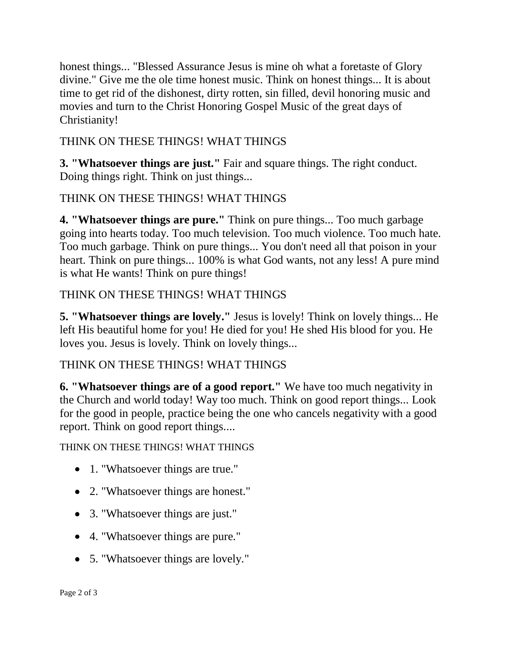honest things... "Blessed Assurance Jesus is mine oh what a foretaste of Glory divine." Give me the ole time honest music. Think on honest things... It is about time to get rid of the dishonest, dirty rotten, sin filled, devil honoring music and movies and turn to the Christ Honoring Gospel Music of the great days of Christianity!

## THINK ON THESE THINGS! WHAT THINGS

**3. "Whatsoever things are just."** Fair and square things. The right conduct. Doing things right. Think on just things...

# THINK ON THESE THINGS! WHAT THINGS

**4. "Whatsoever things are pure."** Think on pure things... Too much garbage going into hearts today. Too much television. Too much violence. Too much hate. Too much garbage. Think on pure things... You don't need all that poison in your heart. Think on pure things... 100% is what God wants, not any less! A pure mind is what He wants! Think on pure things!

## THINK ON THESE THINGS! WHAT THINGS

**5. "Whatsoever things are lovely."** Jesus is lovely! Think on lovely things... He left His beautiful home for you! He died for you! He shed His blood for you. He loves you. Jesus is lovely. Think on lovely things...

## THINK ON THESE THINGS! WHAT THINGS

**6. "Whatsoever things are of a good report."** We have too much negativity in the Church and world today! Way too much. Think on good report things... Look for the good in people, practice being the one who cancels negativity with a good report. Think on good report things....

THINK ON THESE THINGS! WHAT THINGS

- 1. "Whatsoever things are true."
- 2. "Whatsoever things are honest."
- 3. "Whatsoever things are just."
- 4. "Whatsoever things are pure."
- 5. "Whatsoever things are lovely."